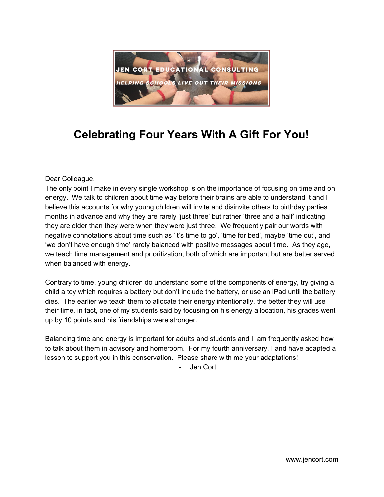

## **Celebrating Four Years With A Gift For You!**

Dear Colleague,

The only point I make in every single workshop is on the importance of focusing on time and on energy. We talk to children about time way before their brains are able to understand it and I believe this accounts for why young children will invite and disinvite others to birthday parties months in advance and why they are rarely 'just three' but rather 'three and a half' indicating they are older than they were when they were just three. We frequently pair our words with negative connotations about time such as 'it's time to go', 'time for bed', maybe 'time out', and 'we don't have enough time' rarely balanced with positive messages about time. As they age, we teach time management and prioritization, both of which are important but are better served when balanced with energy.

Contrary to time, young children do understand some of the components of energy, try giving a child a toy which requires a battery but don't include the battery, or use an iPad until the battery dies. The earlier we teach them to allocate their energy intentionally, the better they will use their time, in fact, one of my students said by focusing on his energy allocation, his grades went up by 10 points and his friendships were stronger.

Balancing time and energy is important for adults and students and I am frequently asked how to talk about them in advisory and homeroom. For my fourth anniversary, I and have adapted a lesson to support you in this conservation. Please share with me your adaptations!

- Jen Cort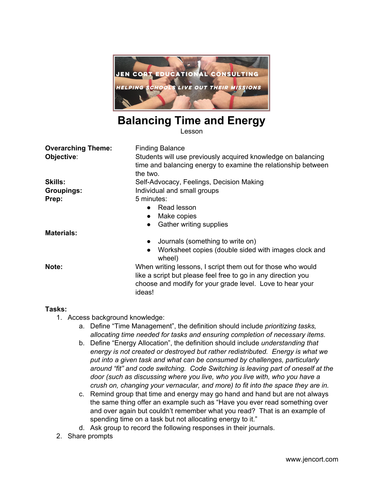

### **Balancing Time and Energy**

Lesson

| <b>Overarching Theme:</b> | <b>Finding Balance</b>                                                                                                                                                                              |  |
|---------------------------|-----------------------------------------------------------------------------------------------------------------------------------------------------------------------------------------------------|--|
| Objective:                | Students will use previously acquired knowledge on balancing<br>time and balancing energy to examine the relationship between<br>the two.                                                           |  |
| <b>Skills:</b>            | Self-Advocacy, Feelings, Decision Making                                                                                                                                                            |  |
| <b>Groupings:</b>         | Individual and small groups                                                                                                                                                                         |  |
| Prep:                     | 5 minutes:                                                                                                                                                                                          |  |
|                           | $\bullet$ Read lesson                                                                                                                                                                               |  |
|                           | Make copies<br>$\bullet$                                                                                                                                                                            |  |
|                           | <b>Gather writing supplies</b><br>$\bullet$                                                                                                                                                         |  |
| <b>Materials:</b>         |                                                                                                                                                                                                     |  |
|                           | Journals (something to write on)<br>$\bullet$                                                                                                                                                       |  |
|                           | Worksheet copies (double sided with images clock and<br>$\bullet$<br>wheel)                                                                                                                         |  |
| Note:                     | When writing lessons, I script them out for those who would<br>like a script but please feel free to go in any direction you<br>choose and modify for your grade level. Love to hear your<br>ideas! |  |

#### **Tasks:**

- 1. Access background knowledge:
	- a. Define "Time Management", the definition should include *prioritizing tasks, allocating time needed for tasks and ensuring completion of necessary items*.
	- b. Define "Energy Allocation", the definition should include *understanding that energy is not created or destroyed but rather redistributed. Energy is what we put into a given task and what can be consumed by challenges, particularly around "fit" and code switching. Code Switching is leaving part of oneself at the door (such as discussing where you live, who you live with, who you have a crush on, changing your vernacular, and more) to fit into the space they are in.*
	- c. Remind group that time and energy may go hand and hand but are not always the same thing offer an example such as "Have you ever read something over and over again but couldn't remember what you read? That is an example of spending time on a task but not allocating energy to it."
	- d. Ask group to record the following responses in their journals.
- 2. Share prompts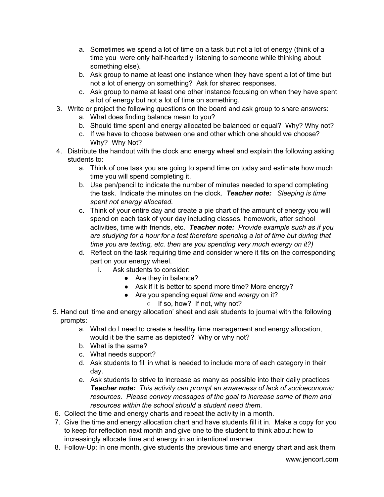- a. Sometimes we spend a lot of time on a task but not a lot of energy (think of a time you were only half-heartedly listening to someone while thinking about something else).
- b. Ask group to name at least one instance when they have spent a lot of time but not a lot of energy on something? Ask for shared responses.
- c. Ask group to name at least one other instance focusing on when they have spent a lot of energy but not a lot of time on something.
- 3. Write or project the following questions on the board and ask group to share answers:
	- a. What does finding balance mean to you?
	- b. Should time spent and energy allocated be balanced or equal? Why? Why not?
	- c. If we have to choose between one and other which one should we choose? Why? Why Not?
- 4. Distribute the handout with the clock and energy wheel and explain the following asking students to:
	- a. Think of one task you are going to spend time on today and estimate how much time you will spend completing it.
	- b. Use pen/pencil to indicate the number of minutes needed to spend completing the task. Indicate the minutes on the clock. *Teacher note: Sleeping is time spent not energy allocated.*
	- c. Think of your entire day and create a pie chart of the amount of energy you will spend on each task of your day including classes, homework, after school activities, time with friends, etc. *Teacher note: Provide example such as if you are studying for a hour for a test therefore spending a lot of time but during that time you are texting, etc. then are you spending very much energy on it?)*
	- d. Reflect on the task requiring time and consider where it fits on the corresponding part on your energy wheel.
		- i. Ask students to consider:
			- Are they in balance?
			- Ask if it is better to spend more time? More energy?
			- Are you spending equal *time* and *energy* on it?
				- If so, how? If not, why not?
- 5. Hand out 'time and energy allocation' sheet and ask students to journal with the following prompts:
	- a. What do I need to create a healthy time management and energy allocation, would it be the same as depicted? Why or why not?
	- b. What is the same?
	- c. What needs support?
	- d. Ask students to fill in what is needed to include more of each category in their day.
	- e. Ask students to strive to increase as many as possible into their daily practices *Teacher note: This activity can prompt an awareness of lack of socioeconomic resources. Please convey messages of the goal to increase some of them and resources within the school should a student need them.*
- 6. Collect the time and energy charts and repeat the activity in a month.
- 7. Give the time and energy allocation chart and have students fill it in. Make a copy for you to keep for reflection next month and give one to the student to think about how to increasingly allocate time and energy in an intentional manner.
- 8. Follow-Up: In one month, give students the previous time and energy chart and ask them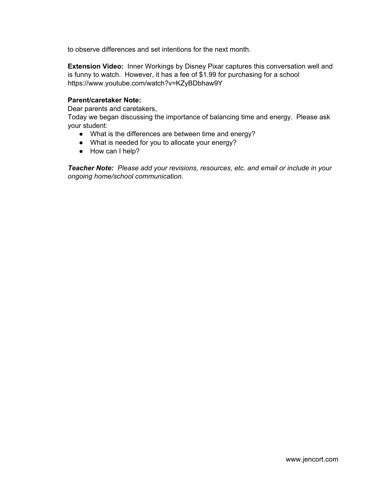to observe differences and set intentions for the next month.

**Extension Video:** Inner Workings by Disney Pixar captures this conversation well and is funny to watch. However, it has a fee of \$1.99 for purchasing for a school https://www.youtube.com/watch?v=KZyBDbhaw9Y

#### **Parent/caretaker Note:**

Dear parents and caretakers,

Today we began discussing the importance of balancing time and energy. Please ask your student:

- What is the differences are between time and energy?
- What is needed for you to allocate your energy?
- How can I help?

*Teacher Note: P lease add your revisions, resources, etc. and email or include in your ongoing home/school communication.*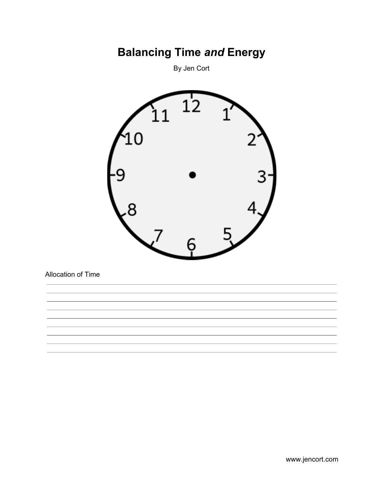## **Balancing Time** *and* **Energy**

By Jen Cort



Allocation of Time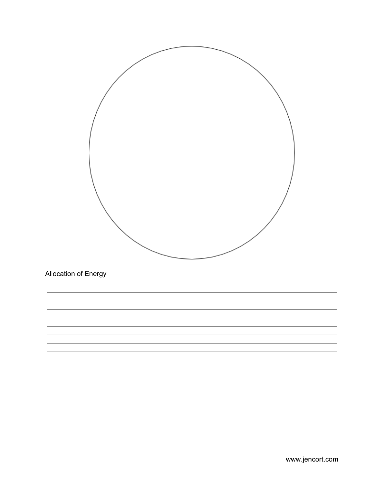

www.jencort.com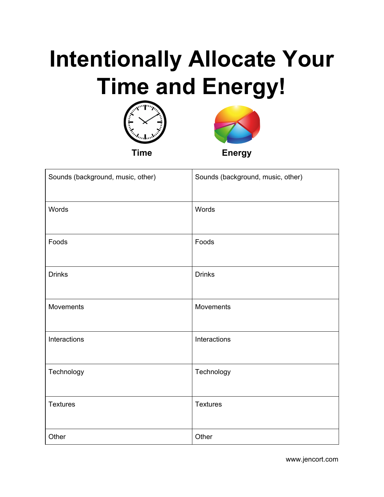# **Intentionally Allocate Your Time and Energy!**





| Sounds (background, music, other) | Sounds (background, music, other) |
|-----------------------------------|-----------------------------------|
| Words                             | Words                             |
| Foods                             | Foods                             |
| <b>Drinks</b>                     | <b>Drinks</b>                     |
| Movements                         | Movements                         |
| Interactions                      | Interactions                      |
| Technology                        | Technology                        |
| <b>Textures</b>                   | <b>Textures</b>                   |
| Other                             | Other                             |

www.jencort.com